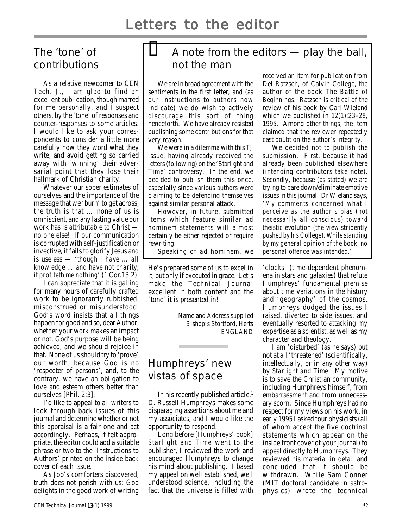# The 'tone' of contributions

As a relative newcomer to CEN Tech. J., I am glad to find an excellent publication, though marred for me personally, and I suspect others, by the 'tone' of responses and counter-responses to some articles. I would like to ask your correspondents to consider a little more carefully how they word what they write, and avoid getting so carried away with 'winning' their adversarial point that they lose their hallmark of Christian charity.

Whatever our sober estimates of ourselves and the importance of the message that we 'burn' to get across, the truth is that … none of us is omniscient, and any lasting value our work has is attributable to Christ no one else! If our communication is corrupted with self-justification or invective, it fails to glorify Jesus and is useless — 'though I have … all knowledge … and have not charity, it profiteth me nothing' (1 Cor.13:2).

I can appreciate that it is galling for many hours of carefully crafted work to be ignorantly rubbished, misconstrued or misunderstood. God's word insists that all things happen for good and so, dear Author, whether your work makes an impact or not, God's purpose will be being achieved, and we should rejoice in that. None of us should try to 'prove' our worth, because God is no 'respecter of persons', and, to the contrary, we have an obligation to love and esteem others better than ourselves [Phil. 2:3].

I'd like to appeal to all writers to look through back issues of this journal and determine whether or not this appraisal is a fair one and act accordingly. Perhaps, if felt appropriate, the editor could add a suitable phrase or two to the 'Instructions to Authors' printed on the inside back cover of each issue.

As Job's comforters discovered, truth does not perish with us: God delights in the good work of writing

# A note from the editors — play the ball, not the man

We are in broad agreement with the sentiments in the first letter, and (as our instructions to authors now indicate) we do wish to actively discourage this sort of thing henceforth. We have already resisted publishing some contributions for that very reason.

We were in a dilemma with this TJ issue, having already received the letters (following) on the 'Starlight and Time' controversy. In the end, we decided to publish them this once, especially since various authors were claiming to be defending themselves against similar personal attack.

However, in future, submitted items which feature similar ad hominem statements will almost certainly be either rejected or require rewriting.

Speaking of ad hominem, we

He's prepared some of us to excel in it, but only if executed in grace. Let's make the Technical Journal excellent in both content and the 'tone' it is presented in!

> Name and Address supplied Bishop's Stortford, Herts ENGLAND

# Humphreys' new vistas of space

In his recently published article,<sup>1</sup> D. Russell Humphreys makes some disparaging assertions about me and my associates, and I would like the opportunity to respond.

Long before [Humphreys' book] Starlight and Time went to the publisher, I reviewed the work and encouraged Humphreys to change his mind about publishing. I based my appeal on well established, well understood science, including the fact that the universe is filled with received an item for publication from Del Ratzsch, of Calvin College, the author of the book The Battle of Beginnings. Ratzsch is critical of the review of his book by Carl Wieland which we published in 12(1):23–28, 1995. Among other things, the item claimed that the reviewer repeatedly cast doubt on the author's integrity.

We decided not to publish the submission. First, because it had already been published elsewhere (intending contributors take note). Secondly, because (as stated) we are trying to pare down/eliminate emotive issues in this journal. Dr Wieland says, 'My comments concerned what I perceive as the author's bias (not necessarily all conscious) toward theistic evolution (the view stridently pushed by his College). While standing by my general opinion of the book, no personal offence was intended.'

'clocks' (time-dependent phenomena in stars and galaxies) that refute Humphreys' fundamental premise about time variations in the history and 'geography' of the cosmos. Humphreys dodged the issues I raised, diverted to side issues, and eventually resorted to attacking my expertise as a scientist, as well as my character and theology.

I am 'disturbed' (as he says) but not at all 'threatened' (scientifically, intellectually, or in any other way) by Starlight and Time. My motive is to save the Christian community, including Humphreys himself, from embarrassment and from unnecessary scorn. Since Humphreys had no respect for my views on his work, in early 1995 I asked four physicists (all of whom accept the five doctrinal statements which appear on the inside front cover of your journal) to appeal directly to Humphreys. They reviewed his material in detail and concluded that it should be withdrawn. While Sam Conner (MIT doctoral candidate in astrophysics) wrote the technical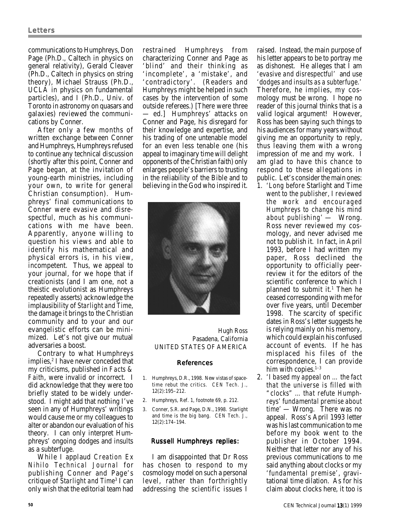communications to Humphreys, Don Page (Ph.D., Caltech in physics on general relativity), Gerald Cleaver (Ph.D., Caltech in physics on string theory), Michael Strauss (Ph.D., UCLA in physics on fundamental particles), and I (Ph.D., Univ. of Toronto in astronomy on quasars and galaxies) reviewed the communications by Conner.

After only a few months of written exchange between Conner and Humphreys, Humphreys refused to continue any technical discussion (shortly after this point, Conner and Page began, at the invitation of young-earth ministries, including your own, to write for general Christian consumption). Humphreys' final communications to Conner were evasive and disrespectful, much as his communications with me have been. Apparently, anyone willing to question his views and able to identify his mathematical and physical errors is, in his view, incompetent. Thus, we appeal to your journal, for we hope that if creationists (and I am one, not a theistic evolutionist as Humphreys repeatedly asserts) acknowledge the implausibility of Starlight and Time, the damage it brings to the Christian community and to your and our evangelistic efforts can be minimized. Let's not give our mutual adversaries a boost.

Contrary to what Humphreys implies,<sup>2</sup> I have never conceded that my criticisms, published in Facts & Faith, were invalid or incorrect. I did acknowledge that they were too briefly stated to be widely understood. I might add that nothing I've seen in any of Humphreys' writings would cause me or my colleagues to alter or abandon our evaluation of his theory. I can only interpret Humphreys' ongoing dodges and insults as a subterfuge.

While I applaud Creation Ex Nihilo Technical Journal for publishing Conner and Page's critique of Starlight and Time<sup>3</sup> I can only wish that the editorial team had

restrained Humphreys from characterizing Conner and Page as 'blind' and their thinking as 'incomplete', a 'mistake', and 'contradictory'. (Readers and Humphreys might be helped in such cases by the intervention of some outside referees.) [There were three — ed.] Humphreys' attacks on Conner and Page, his disregard for their knowledge and expertise, and his trading of one untenable model for an even less tenable one (his appeal to imaginary time will delight opponents of the Christian faith) only enlarges people's barriers to trusting in the reliability of the Bible and to believing in the God who inspired it.



Hugh Ross Pasadena, California UNITED STATES OF AMERICA

#### References

- 1. Humphreys, D.R., 1998. New vistas of spacetime rebut the critics. CEN Tech. J., 12(2):195–212.
- 2. Humphreys, Ref. 1, footnote 69, p. 212.
- 3. Conner, S.R. and Page, D.N., 1998. Starlight and time is the big bang. CEN Tech. J., 12(2):174–194.

#### Russell Humphreys replies:

I am disappointed that Dr Ross has chosen to respond to my cosmology model on such a personal level, rather than forthrightly addressing the scientific issues I raised. Instead, the main purpose of his letter appears to be to portray me as dishonest. He alleges that I am 'evasive and disrespectful' and use 'dodges and insults as a subterfuge.' Therefore, he implies, my cosmology must be wrong. I hope no reader of this journal thinks that is a valid logical argument! However, Ross has been saying such things to his audiences for many years without giving me an opportunity to reply, thus leaving them with a wrong impression of me and my work. I am glad to have this chance to respond to these allegations in public. Let's consider the main ones:

- 1. 'Long before Starlight and Time went to the publisher, I reviewed the work and encouraged Humphreys to change his mind about publishing' — Wrong. Ross never reviewed my cosmology, and never advised me not to publish it. In fact, in April 1993, before I had written my paper, Ross declined the opportunity to officially peerreview it for the editors of the scientific conference to which I planned to submit it.<sup>1</sup> Then he ceased corresponding with me for over five years, until December 1998. The scarcity of specific dates in Ross's letter suggests he is relying mainly on his memory, which could explain his confused account of events. If he has misplaced his files of the correspondence, I can provide him with copies. $1-3$
- 2. 'I based my appeal on … the fact that the universe is filled with "clocks" … that refute Humphreys' fundamental premise about time' — Wrong. There was no appeal. Ross's April 1993 letter was his last communication to me before my book went to the publisher in October 1994. Neither that letter nor any of his previous communications to me said anything about clocks or my 'fundamental premise', gravitational time dilation. As for his claim about clocks here, it too is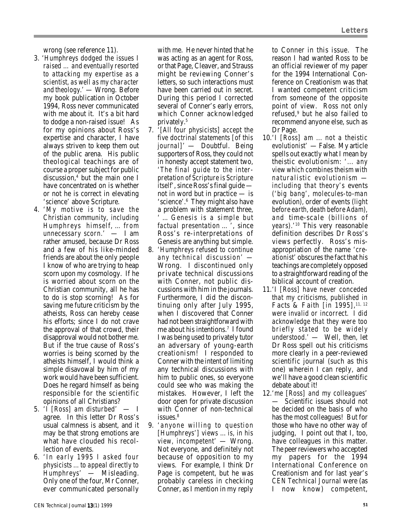wrong (see reference 11).

- 3. 'Humphreys dodged the issues I raised … and eventually resorted to attacking my expertise as a scientist, as well as my character and theology.' — Wrong. Before my book publication in October 1994, Ross never communicated with me about it. It's a bit hard to dodge a non-raised issue! As for my opinions about Ross's expertise and character, I have always striven to keep them out of the public arena. His public theological teachings are of course a proper subject for public discussion,4 but the main one I have concentrated on is whether or not he is correct in elevating 'science' above Scripture.
- 4. 'My motive is to save the Christian community, including Humphreys himself, … from unnecessary scorn.' — I am rather amused, because Dr Ross and a few of his like-minded friends are about the only people I know of who are trying to heap scorn upon my cosmology. If he is worried about scorn on the Christian community, all he has to do is stop scorning! As for saving me future criticism by the atheists, Ross can hereby cease his efforts; since I do not crave the approval of that crowd, their disapproval would not bother me. But if the true cause of Ross's worries is being scorned by the atheists himself, I would think a simple disavowal by him of my work would have been sufficient. Does he regard himself as being responsible for the scientific opinions of all Christians?
- 5. 'I [Ross] am disturbed' I agree. In this letter Dr Ross's usual calmness is absent, and it may be that strong emotions are what have clouded his recollection of events.
- 6. 'In early 1995 I asked four physicists ... to appeal directly to Humphreys' — Misleading. Only one of the four, Mr Conner, ever communicated personally

with me. He never hinted that he was acting as an agent for Ross, or that Page, Cleaver, and Strauss might be reviewing Conner's letters, so such interactions must have been carried out in secret. During this period I corrected several of Conner's early errors, which Conner acknowledged privately.5

- 7. '[All four physicists] accept the five doctrinal statements [of this journal]' — Doubtful. Being supporters of Ross, they could not in honesty accept statement two, 'The final guide to the interpretation of Scripture is Scripture itself', since Ross's final guide not in word but in practice — is 'science'.6 They might also have a problem with statement three, ' … Genesis is a simple but factual presentation … ', since Ross's re-interpretations of Genesis are anything but simple.
- 8. 'Humphreys refused to continue any technical discussion' — Wrong. I discontinued only private technical discussions with Conner, not public discussions with him in the journals. Furthermore, I did the discontinuing only after July 1995, when I discovered that Conner had not been straightforward with me about his intentions.<sup>7</sup> I found I was being used to privately tutor an adversary of young-earth creationism! I responded to Conner with the intent of limiting any technical discussions with him to public ones, so everyone could see who was making the mistakes. However, I left the door open for private discussion with Conner of non-technical  $i$ ssues $8$
- 9. 'anyone willing to question [Humphreys'] views ... is, in his view, incompetent' — Wrong. Not everyone, and definitely not because of opposition to my views. For example, I think Dr Page is competent, but he was probably careless in checking Conner, as I mention in my reply

to Conner in this issue. The reason I had wanted Ross to be an official reviewer of my paper for the 1994 International Conference on Creationism was that I wanted competent criticism from someone of the opposite point of view. Ross not only refused,9 but he also failed to recommend anyone else, such as Dr Page.

- 10.'I [Ross] am ... not a theistic evolutionist' — False. My article spells out exactly what I mean by theistic evolutionism: '... any view which combines theism with naturalistic evolutionism including that theory's events ('big bang', molecules-to-man evolution), order of events (light before earth, death before Adam), and time-scale (billions of years).'10 This very reasonable definition describes Dr Ross's views perfectly. Ross's misappropriation of the name 'creationist' obscures the fact that his teachings are completely opposed to a straightforward reading of the biblical account of creation.
- 11.'I [Ross] have never conceded that my criticisms, published in Facts & Faith [in 1995],<sup>11, 12</sup> were invalid or incorrect. I did acknowledge that they were too briefly stated to be widely understood.' — Well, then, let Dr Ross spell out his criticisms more clearly in a peer-reviewed scientific journal (such as this one) wherein I can reply, and we'll have a good clean scientific debate about it!
- 12.'me [Ross] and my colleagues' — Scientific issues should not be decided on the basis of who has the most colleagues! But for those who have no other way of judging, I point out that I, too, have colleagues in this matter. The peer reviewers who accepted my papers for the 1994 International Conference on Creationism and for last year's CEN Technical Journal were (as I now know) competent,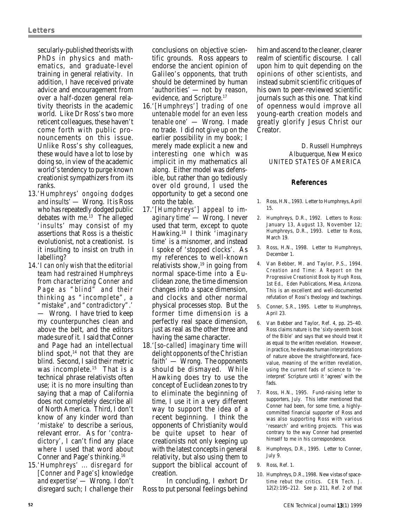secularly-published theorists with PhDs in physics and mathematics, and graduate-level training in general relativity. In addition, I have received private advice and encouragement from over a half-dozen general relativity theorists in the academic world. Like Dr Ross's two more reticent colleagues, these haven't come forth with public pronouncements on this issue. Unlike Ross's shy colleagues, these would have a lot to lose by doing so, in view of the academic world's tendency to purge known creationist sympathizers from its ranks.

- 13.'Humphreys' ongoing dodges and insults' — Wrong. It is Ross who has repeatedly dodged public debates with me.13 The alleged 'insults' may consist of my assertions that Ross is a theistic evolutionist, not a creationist. Is it insulting to insist on truth in labelling?
- 14.'I can only wish that the editorial team had restrained Humphreys from characterizing Conner and Page as "blind" and their thinking as "incomplete", a "mistake", and "contradictory".' — Wrong. I have tried to keep my counterpunches clean and above the belt, and the editors made sure of it. I said that Conner and Page had an intellectual blind spot.<sup>14</sup> not that they are blind. Second, I said their metric was incomplete.<sup>15</sup> That is a technical phrase relativists often use; it is no more insulting than saying that a map of California does not completely describe all of North America. Third, I don't know of any kinder word than 'mistake' to describe a serious, relevant error. As for 'contradictory', I can't find any place where I used that word about Conner and Page's thinking.16
- 15.'Humphreys' ... disregard for [Conner and Page's] knowledge and expertise' — Wrong. I don't disregard such; I challenge their

conclusions on objective scientific grounds. Ross appears to endorse the ancient opinion of Galileo's opponents, that truth should be determined by human 'authorities' — not by reason, evidence, and Scripture.17

- 16.'[Humphreys'] trading of one untenable model for an even less tenable one' — Wrong. I made no trade. I did not give up on the earlier possibility in my book; I merely made explicit a new and interesting one which was implicit in my mathematics all along. Either model was defensible, but rather than go tediously over old ground, I used the opportunity to get a second one onto the table.
- 17.'[Humphreys'] appeal to imaginary time' — Wrong. I never used that term, except to quote Hawking.18 I think 'imaginary time' is a misnomer, and instead I spoke of 'stopped clocks'. As my references to well-known relativists show, $19$  in going from normal space-time into a Euclidean zone, the time dimension changes into a space dimension, and clocks and other normal physical processes stop. But the former time dimension is a perfectly real space dimension, just as real as the other three and having the same character.
- 18.'[so-called] imaginary time will delight opponents of the Christian faith' — Wrong. The opponents should be dismayed. While Hawking does try to use the concept of Euclidean zones to try to eliminate the beginning of time, I use it in a very different way to support the idea of a recent beginning. I think the opponents of Christianity would be quite upset to hear of creationists not only keeping up with the latest concepts in general relativity, but also using them to support the biblical account of creation.

In concluding, I exhort Dr Ross to put personal feelings behind him and ascend to the cleaner, clearer realm of scientific discourse. I call upon him to quit depending on the opinions of other scientists, and instead submit scientific critiques of his own to peer-reviewed scientific journals such as this one. That kind of openness would improve all young-earth creation models and greatly glorify Jesus Christ our Creator.

> D. Russell Humphreys Albuquerque, New Mexico UNITED STATES OF AMERICA

## References

- 1. Ross, H.N., 1993. Letter to Humphreys, April 15.
- 2. Humphreys, D.R., 1992. Letters to Ross: January 13, August 13, November 12; Humphreys, D.R., 1993. Letter to Ross, March 19.
- 3. Ross, H.N., 1998. Letter to Humphreys, December 1.
- 4. Van Bebber, M. and Taylor, P.S., 1994. Creation and Time: A Report on the Progressive Creationist Book by Hugh Ross, 1st Ed., Eden Publications, Mesa, Arizona. This is an excellent and well-documented refutation of Ross's theology and teachings.
- 5. Conner, S.R., 1995. Letter to Humphreys, April 23.
- 6. Van Bebber and Taylor, Ref. 4, pp. 25–40. Ross claims nature is the 'sixty-seventh book of the Bible' and says that we should treat it as equal to the written revelation. However, in practice, he elevates human interpretations of nature above the straightforward, facevalue, meaning of the written revelation, using the current fads of science to 'reinterpret' Scripture until it 'agrees' with the fads.
- 7. Ross, H.N., 1995. Fund-raising letter to supporters, July. This letter mentioned that Conner had been, for some time, a highlycommitted financial supporter of Ross and was also supporting Ross with various 'research' and writing projects. This was contrary to the way Conner had presented himself to me in his correspondence.
- 8. Humphreys, D.R., 1995. Letter to Conner, July 9.
- 9. Ross, Ref. 1.
- 10. Humphreys, D.R., 1998. New vistas of spacetime rebut the critics. CEN Tech. J. 12(2):195–212. See p. 211, Ref. 2 of that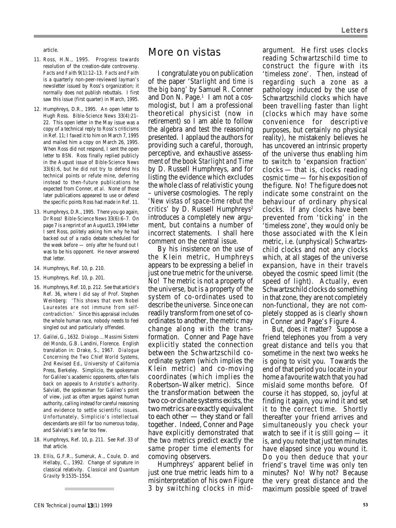article.

- 11. Ross, H.N., 1995. Progress towards resolution of the creation-date controversy. Facts and Faith 9(1):12–13. Facts and Faith is a quarterly non-peer-reviewed layman's newsletter issued by Ross's organization; it normally does not publish rebuttals. I first saw this issue (first quarter) in March, 1995.
- 12. Humphreys, D.R., 1995. An open letter to Hugh Ross. Bible-Science News 33(4):21– 22. This open letter in the May issue was a copy of a technical reply to Ross's criticisms in Ref. 11; I faxed it to him on March 7, 1995 and mailed him a copy on March 26, 1995. When Ross did not respond, I sent the open letter to BSN. Ross finally replied publicly in the August issue of Bible-Science News 33(6):6, but he did not try to defend his technical points or refute mine, deferring instead to then-future publications he expected from Conner, et al. None of those later publications appeared to use or defend the specific points Ross had made in Ref. 11.
- 13. Humphreys, D.R., 1995. There you go again, Dr Ross! Bible-Science News 33(6):6–7. On page 7 is a reprint of an August13, 1994 letter I sent Ross, politely asking him why he had backed out of a radio debate scheduled for the week before — only after he found out I was to be his opponent. He never answered that letter.
- 14. Humphreys, Ref. 10, p. 210.
- 15. Humphreys, Ref. 10, p. 201.
- 16. Humphreys, Ref. 10, p. 212. See that article's Ref. 36, where I did say of Prof. Stephen Weinberg: 'This shows that even Nobel Laureates are not immune from selfcontradiction.' Since this appraisal includes the whole human race, nobody needs to feel singled out and particularly offended.
- 17. Galilei, G., 1632. Dialogo ... Massimi Sistemi del Mondo, G.B. Landini, Florence. English translation in: Drake, S., 1967. Dialogue Concerning the Two Chief World Systems, 2nd Revised Ed., University of California Press, Berkeley. Simplicio, the spokesman for Galileo's academic opponents, often falls back on appeals to Aristotle's authority. Salviati, the spokesman for Galileo's point of view, just as often argues against human authority, calling instead for careful reasoning and evidence to settle scientific issues. Unfortunately, Simplicio's intellectual descendants are still far too numerous today, and Salviati's are far too few.
- 18. Humphreys, Ref. 10, p. 211. See Ref. 33 of that article.
- 19. Ellis, G.F.R., Sumeruk, A., Coule, D. and Hellaby, C., 1992. Change of signature in classical relativity. Classical and Quantum Gravity 9:1535–1554.

# More on vistas

I congratulate you on publication of the paper 'Starlight and time is the big bang' by Samuel R. Conner and Don N. Page.<sup>1</sup> I am not a cosmologist, but I am a professional theoretical physicist (now in retirement) so I am able to follow the algebra and test the reasoning presented. I applaud the authors for providing such a careful, thorough, perceptive, and exhaustive assessment of the book Starlight and Time by D. Russell Humphreys, and for listing the evidence which excludes the whole class of relativistic young – universe cosmologies. The reply 'New vistas of space-time rebut the critics' by D. Russell Humphreys<sup>2</sup> introduces a completely new argument, but contains a number of incorrect statements. I shall here comment on the central issue.

By his insistence on the use of the Klein metric, Humphreys appears to be expressing a belief in just one true metric for the universe. No! The metric is not a property of the universe, but is a property of the system of co-ordinates used to describe the universe. Since one can readily transform from one set of coordinates to another, the metric may change along with the transformation. Conner and Page have explicitly stated the connection between the Schwartzschild coordinate system (which implies the Klein metric) and co-moving coordinates (which implies the Robertson–Walker metric). Since the transformation between the two co-ordinate systems exists, the two metrics are exactly equivalent to each other — they stand or fall together. Indeed, Conner and Page have explicitly demonstrated that the two metrics predict exactly the same proper time elements for comoving observers.

Humphreys' apparent belief in just one true metric leads him to a misinterpretation of his own Figure 3 by switching clocks in midargument. He first uses clocks reading Schwartzschild time to construct the figure with its 'timeless zone'. Then, instead of regarding such a zone as a pathology induced by the use of Schwartzschild clocks which have been travelling faster than light (clocks which may have some convenience for descriptive purposes, but certainly no physical reality), he mistakenly believes he has uncovered an intrinsic property of the universe thus enabling him to switch to 'expansion fraction' clocks — that is, clocks reading cosmic time — for his exposition of the figure. No! The figure does not indicate some constraint on the behaviour of ordinary physical clocks. If any clocks have been prevented from 'ticking' in the 'timeless zone', they would only be those associated with the Klein metric, i.e. (unphysical) Schwartzschild clocks and not any clocks which, at all stages of the universe expansion, have in their travels obeyed the cosmic speed limit (the speed of light). Actually, even Schwartzschild clocks do something in that zone, they are not completely non-functional, they are not completely stopped as is clearly shown in Conner and Page's Figure 4.

But, does it matter? Suppose a friend telephones you from a very great distance and tells you that sometime in the next two weeks he is going to visit you. Towards the end of that period you locate in your home a favourite watch that you had mislaid some months before. Of course it has stopped, so, joyful at finding it again, you wind it and set it to the correct time. Shortly thereafter your friend arrives and simultaneously you check your watch to see if it is still going — it is, and you note that just ten minutes have elapsed since you wound it. Do you then deduce that your friend's travel time was only ten minutes? No! Why not? Because the very great distance and the maximum possible speed of travel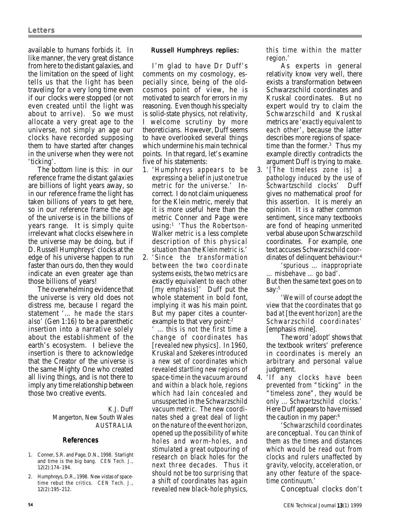available to humans forbids it. In like manner, the very great distance from here to the distant galaxies, and the limitation on the speed of light tells us that the light has been traveling for a very long time even if our clocks were stopped (or not even created until the light was about to arrive). So we must allocate a very great age to the universe, not simply an age our clocks have recorded supposing them to have started after changes in the universe when they were not 'ticking'.

The bottom line is this: in our reference frame the distant galaxies are billions of light years away, so in our reference frame the light has taken billions of years to get here, so in our reference frame the age of the universe is in the billions of years range. It is simply quite irrelevant what clocks elsewhere in the universe may be doing, but if D. Russell Humphreys' clocks at the edge of his universe happen to run faster than ours do, then they would indicate an even greater age than those billions of years!

The overwhelming evidence that the universe is very old does not distress me, because I regard the statement '… he made the stars also' (Gen 1:16) to be a parenthetic insertion into a narrative solely about the establishment of the earth's ecosystem. I believe the insertion is there to acknowledge that the Creator of the universe is the same Mighty One who created all living things, and is not there to imply any time relationship between those two creative events.

> K.J. Duff Mangerton, New South Wales AUSTRALIA

#### References

- 1. Conner, S.R. and Page, D.N., 1998. Starlight and time is the big bang. CEN Tech. J., 12(2):174–194.
- 2. Humphreys, D.R., 1998. New vistas of spacetime rebut the critics. CEN Tech. J., 12(2):195–212.

## Russell Humphreys replies:

I'm glad to have Dr Duff's comments on my cosmology, especially since, being of the oldcosmos point of view, he is motivated to search for errors in my reasoning. Even though his specialty is solid-state physics, not relativity, I welcome scrutiny by more theoreticians. However, Duff seems to have overlooked several things which undermine his main technical points. In that regard, let's examine five of his statements:

- 1. 'Humphreys appears to be expressing a belief in just one true metric for the universe.' Incorrect. I do not claim uniqueness for the Klein metric, merely that it is more useful here than the metric Conner and Page were using:1 'Thus the Robertson-Walker metric is a less complete description of this physical situation than the Klein metric is.'
- 2. 'Since the transformation between the two coordinate systems exists, the two metrics are exactly equivalent to each other [my emphasis]' Duff put the whole statement in bold font, implying it was his main point. But my paper cites a counterexample to that very point:<sup>2</sup>

... this is not the first time a change of coordinates has [revealed new physics]. In 1960, Kruskal and Szekeres introduced a new set of coordinates which revealed startling new regions of space-time in the vacuum around and within a black hole, regions which had lain concealed and unsuspected in the Schwarzschild vacuum metric. The new coordinates shed a great deal of light on the nature of the event horizon, opened up the possibility of white holes and worm-holes, and stimulated a great outpouring of research on black holes for the next three decades. Thus it should not be too surprising that a shift of coordinates has again revealed new black-hole physics, this time within the matter region.'

As experts in general relativity know very well, there exists a transformation between Schwarzschild coordinates and Kruskal coordinates. But no expert would try to claim the Schwarzschild and Kruskal metrics are 'exactly equivalent to each other', because the latter describes more regions of spacetime than the former.<sup>3</sup> Thus my example directly contradicts the argument Duff is trying to make.

3. '[The timeless zone is] a pathology induced by the use of Schwartzschild clocks' Duff gives no mathematical proof for this assertion. It is merely an opinion. It is a rather common sentiment, since many textbooks are fond of heaping unmerited verbal abuse upon Schwarzschild coordinates. For example, one text accuses Schwarzschild coordinates of delinquent behaviour:4

'spurious … inappropriate … misbehave … go bad'. But then the same text goes on to

say:<sup>5</sup> 'We will of course adopt the view that the coordinates that go bad at [the event horizon] are the Schwarzschild coordinates' [emphasis mine].

The word 'adopt' shows that the textbook writers' preference in coordinates is merely an arbitrary and personal value judgment.

4. 'If any clocks have been prevented from "ticking" in the "timeless zone", they would be only ... Schwartzschild clocks.' Here Duff appears to have missed the caution in my paper:<sup>6</sup>

'Schwarzschild coordinates are conceptual. You can think of them as the times and distances which would be read out from clocks and rulers unaffected by gravity, velocity, acceleration, or any other feature of the spacetime continuum.'

Conceptual clocks don't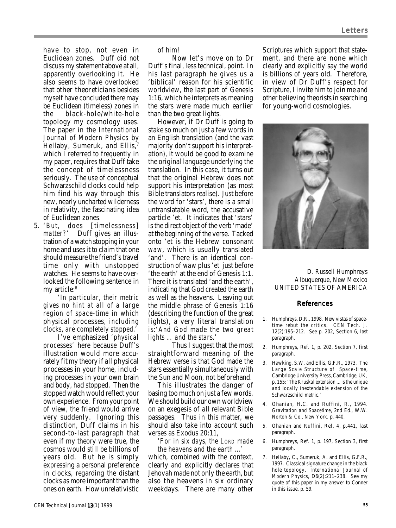have to stop, not even in Euclidean zones. Duff did not discuss my statement above at all, apparently overlooking it. He also seems to have overlooked that other theoreticians besides myself have concluded there may be Euclidean (timeless) zones in the black-hole/white-hole topology my cosmology uses. The paper in the International Journal of Modern Physics by Hellaby, Sumeruk, and Ellis,<sup>7</sup> which I referred to frequently in my paper, requires that Duff take the concept of timelessness seriously. The use of conceptual Schwarzschild clocks could help him find his way through this new, nearly uncharted wilderness in relativity, the fascinating idea of Euclidean zones.

5. 'But, does [timelessness] matter?' Duff gives an illustration of a watch stopping in your home and uses it to claim that one should measure the friend's travel time only with unstopped watches. He seems to have overlooked the following sentence in my article:<sup>8</sup>

'In particular, their metric gives no hint at all of a large region of space-time in which physical processes, including clocks, are completely stopped.'

I've emphasized 'physical processes' here because Duff's illustration would more accurately fit my theory if all physical processes in your home, including processes in your own brain and body, had stopped. Then the stopped watch would reflect your own experience. From your point of view, the friend would arrive very suddenly. Ignoring this distinction, Duff claims in his second-to-last paragraph that even if my theory were true, the cosmos would still be billions of years old. But he is simply expressing a personal preference in clocks, regarding the distant clocks as more important than the ones on earth. How unrelativistic

of him!

Now let's move on to Dr Duff's final, less technical, point. In his last paragraph he gives us a 'biblical' reason for his scientific worldview, the last part of Genesis 1:16, which he interprets as meaning the stars were made much earlier than the two great lights.

However, if Dr Duff is going to stake so much on just a few words in an English translation (and the vast majority don't support his interpretation), it would be good to examine the original language underlying the translation. In this case, it turns out that the original Hebrew does not support his interpretation (as most Bible translators realise). Just before the word for 'stars', there is a small untranslatable word, the accusative particle 'et. It indicates that 'stars' is the direct object of the verb 'made' at the beginning of the verse. Tacked onto 'et is the Hebrew consonant waw, which is usually translated 'and'. There is an identical construction of waw plus 'et just before 'the earth' at the end of Genesis 1:1. There it is translated 'and the earth', indicating that God created the earth as well as the heavens. Leaving out the middle phrase of Genesis 1:16 (describing the function of the great lights), a very literal translation is:'And God made the two great lights … and the stars.'

Thus I suggest that the most straightforward meaning of the Hebrew verse is that God made the stars essentially simultaneously with the Sun and Moon, not beforehand.

This illustrates the danger of basing too much on just a few words. We should build our own worldview on an exegesis of all relevant Bible passages. Thus in this matter, we should also take into account such verses as Exodus 20:11,

'For in six days, the LORD made the heavens and the earth ...'

which, combined with the context, clearly and explicitly declares that Jehovah made not only the earth, but also the heavens in six ordinary weekdays. There are many other Scriptures which support that statement, and there are none which clearly and explicitly say the world is billions of years old. Therefore, in view of Dr Duff's respect for Scripture, I invite him to join me and other believing theorists in searching for young-world cosmologies.



D. Russell Humphreys Albuquerque, New Mexico UNITED STATES OF AMERICA

## References

- 1. Humphreys, D.R., 1998. New vistas of spacetime rebut the critics. CEN Tech. J. 12(2):195–212. See p. 202, Section 6, last paragraph.
- 2. Humphreys, Ref. 1, p. 202, Section 7, first paragraph.
- 3. Hawking, S.W. and Ellis, G.F.R., 1973. The Large Scale Structure of Space-time, Cambridge University Press, Cambridge, UK, p. 155: 'The Kruskal extension ... is the unique and locally inextendable extension of the Schwarzschild metric.'
- 4. Ohanian, H.C. and Ruffini, R., 1994. Gravitation and Spacetime, 2nd Ed., W.W. Norton & Co., New York, p. 440.
- 5. Ohanian and Ruffini, Ref. 4, p.441, last paragraph.
- 6. Humphreys, Ref. 1, p. 197, Section 3, first paragraph.
- 7. Hellaby, C., Sumeruk, A. and Ellis, G.F.R., 1997. Classical signature change in the black hole topology. International Journal of Modern Physics, D6(2):211–238. See my quote of this paper in my answer to Conner in this issue, p. 59.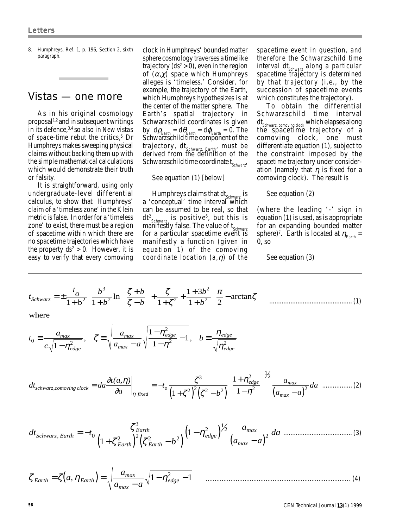8. Humphreys, Ref. 1, p. 196, Section 2, sixth paragraph.

# Vistas — one more

As in his original cosmology proposal1,2 and in subsequent writings in its defence,  $3,4$  so also in New vistas of space-time rebut the critics, $5$  Dr Humphreys makes sweeping physical claims without backing them up with the simple mathematical calculations which would demonstrate their truth or falsity.

It is straightforward, using only undergraduate-level differential calculus, to show that Humphreys' claim of a 'timeless zone' in the Klein metric is false. In order for a 'timeless zone' to exist, there must be a region of spacetime within which there are no spacetime trajectories which have the property  $ds^2 > 0$ . However, it is easy to verify that every comoving

clock in Humphreys' bounded matter sphere cosmology traverses a timelike trajectory  $(ds^2 > 0)$ , even in the region of  $(\alpha, \chi)$  space which Humphreys alleges is 'timeless.' Consider, for example, the trajectory of the Earth, which Humphreys hypothesizes is at the center of the matter sphere. The Earth's spatial trajectory in Schwarzschild coordinates is given by  $d\rho_{\text{Earth}} = d\theta_{\text{Earth}} = d\varphi_{\text{Earth}} = 0$ . The Schwarzschild time component of the trajectory,  $dt_{Schwarz, Earth}$ , must be derived from the definition of the Schwarzschild time coordinate t<sub>schwarz</sub>

#### See equation (1) [below]

Humphreys claims that  $dt_{\rm Schwarz}$  is a 'conceptual' time interval which can be assumed to be real, so that dt<sup>2</sup><sub>Schwarz</sub> is positive<sup>6</sup>, but this is manifestly false. The value of t<sub>schwarz</sub> for a particular spacetime event is manifestly a function (given in equation 1) of the comoving coordinate location  $(a, \eta)$  of the spacetime event in question, and therefore the Schwarzschild time interval dt<sub>schwarz</sub> along a particular spacetime trajectory is determined by that trajectory (i.e., by the succession of spacetime events which constitutes the trajectory).

To obtain the differential Schwarzschild time interval dt<sub>Schwarz, comoving clock</sub> which elapses along the spacetime trajectory of a comoving clock, one must differentiate equation (1), subject to the constraint imposed by the spacetime trajectory under consideration (namely that  $\eta$  is fixed for a comoving clock). The result is

See equation (2)

(where the leading '-' sign in equation (1) is used, as is appropriate for an expanding bounded matter sphere)<sup>7</sup>. Earth is located at  $\eta_{\text{Earth}} =$ 0, so

See equation (3)

 $\frac{1}{2}$ 

$$
t_{Schwarz} = \pm \frac{t_o}{1+b^2} \left[ \frac{b^3}{1+b^2} \ln \left( \frac{\zeta+b}{\zeta-b} \right) + \frac{\zeta}{1+\zeta^2} + \frac{1+3b^2}{1+b^2} \left( \frac{\pi}{2} - \arctan \zeta \right) \right] \dots (1)
$$

where

$$
t_0 \equiv \frac{a_{max}}{c\sqrt{1-\eta_{edge}^2}}, \quad \zeta \equiv \sqrt{\frac{a_{max}}{a_{max}-a}\sqrt{\frac{1-\eta_{edge}^2}{1-\eta^2}}-1}, \quad b \equiv \frac{\eta_{edge}}{\sqrt{\eta_{edge}^2}}
$$

$$
dt_{schwarz, comoving clock} = da \frac{\partial t(a, \eta)}{\partial a}\bigg|_{\eta \text{ fixed}} = -t_o \frac{\zeta^3}{\left(1 + \zeta^2\right)^2 \left(\zeta^2 - b^2\right)} \left(\frac{1 + \eta_{edge}^2}{1 - \eta^2}\right)^{\frac{1}{2}} \frac{a_{max}}{\left(a_{max} - a\right)^2} da_{\dots} \tag{2}
$$

$$
dt_{Schwarz, Earth} = -t_0 \frac{\zeta_{Earth}^3}{\left(1 + \zeta_{Earth}^2\right)^2 \left(\zeta_{Earth}^2 - b^2\right)} \left(1 - \eta_{edge}^2\right)^{1/2} \frac{a_{max}}{\left(a_{max} - a\right)^2} da
$$
.................(3)

$$
\zeta_{Earth} = \zeta(a, \eta_{Earth}) = \sqrt{\frac{a_{max}}{a_{max} - a} \sqrt{1 - \eta_{edge}^2 - 1}}
$$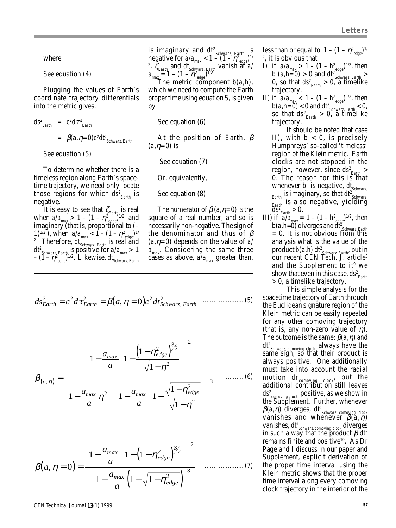where

See equation (4)

Plugging the values of Earth's coordinate trajectory differentials into the metric gives,

 $ds^2$ <sub>Earth</sub> =  $c^2 d \tau^2$ <sub>Earth</sub>  $= \beta(a, \eta=0) c^2 dt^2$ Schwarz, Earth

See equation (5)

To determine whether there is a timeless region along Earth's spacetime trajectory, we need only locate those regions for which  $ds^2_{\text{Earth}}$  is negative.

It is easy to see that  $\zeta_{\text{\tiny{Earth}}}$  is real when  $a/a_{\text{max}} > 1 - (1 - \eta^2_{\text{edge}})^{1/2}$  and imaginary (that is, proportional to  $(-$ 1)<sup>1/2</sup>), when  $a/a_{\text{max}} < 1 - (1 - \eta^2_{\text{edge}})^{1/2}$ <sup>2</sup>. Therefore, dt $_{\rm Schwarz, Earth}$  is real and  $dt^2$ <sub>Schwarz, Earth</sub> is positive for  $a/a_{max} > 1$  $-$  (1- $\eta^2$ <sub>edge</sub>)<sup>1/2</sup>. Likewise, dt<sub>Schwarz, Earth</sub>

is imaginary and  $dt^2$ <sub>Schwarz, Farth</sub> is negative for  $a/a_{\text{max}} < 1 - (1 - \eta^2_{\text{edge}})^{1/2}$ <sup>2</sup>.  $\zeta_{\text{Earth}}$  and dt<sub>Schwarz, Farth</sub> vanish at a/  $a_{\text{max}}^{\text{Pearm}} = 1 - (1 - \eta^2_{\text{edge}})^{1/2}.$ 

The metric component b(a,h), which we need to compute the Earth proper time using equation 5, is given by

See equation (6)

At the position of Earth,  $\beta$  $(a,\eta=0)$  is

See equation (7)

Or, equivalently,

See equation (8)

The numerator of  $\beta$  (a,  $\eta$ =0) is the square of a real number, and so is necessarily non-negative. The sign of the denominator and thus of  $\beta$  $(a, \eta=0)$  depends on the value of a/  $a_{\text{max}}$ . Considering the same three cases as above,  $a/a_{max}$  greater than,

$$
ds_{Earth}^2 = c^2 d\tau_{Earth}^2 = \beta(a, \eta = 0) c^2 d t_{Schwarz, Earth}^2
$$
 (5)

$$
\beta_{(a,\,\eta)} = \frac{\left[1 - \frac{a_{max}}{a}\left(1 - \frac{\left(1 - \eta_{edge}^2\right)^{3/2}}{\sqrt{1 - \eta^2}}\right)\right]^2}{\left(1 - \frac{a_{max}}{a}\eta^2\right)\left[1 - \frac{a_{max}}{a}\left(1 - \frac{\sqrt{1 - \eta_{edge}^2}}{\sqrt{1 - \eta^2}}\right)\right]^3} \quad \dots \dots \dots \dots \tag{6}
$$

$$
\beta(a, \eta = 0) = \frac{\left[1 - \frac{a_{max}}{a} \left(1 - \left(1 - \eta_{edge}^2\right)^{3/2}\right)\right]^2}{\left[1 - \frac{a_{max}}{a} \left(1 - \sqrt{1 - \eta_{edge}^2}\right)\right]^3}
$$
(7)

less than or equal to  $1 - (1 - \eta^2_{\text{edge}})^{1/2}$ <sup>2</sup>, it is obvious that

- 1) if  $a/a_{\text{max}} > 1 (1 h_{\text{edge}}^2)^{1/2}$ , then b  $(a,h=0) > 0$  and  $dt_{Schwarz, Earth}^{\text{euger}} >$ 0, so that ds<sup>2</sup><sub>Earth</sub> > 0, a timelike trajectory.
- II) if  $a/a_{\text{max}} < 1 (1 h_{\text{edge}}^2)^{1/2}$ , then  $b(a,h=0)$  < 0 and dt<sup>2</sup> schwarz, Earth < 0, so that ds<sup>2</sup> $_{\text{Earth}} > 0$ , a timelike trajectory.
	- It should be noted that case II), with  $b < 0$ , is precisely Humphreys' so-called 'timeless' region of the Klein metric. Earth clocks are not stopped in the region, however, since ds<sup>2</sup><sub>Farth</sub> > 0. The reason for this is that whenever b is negative,  $dt_{\text{Schwarz}}$  $_{\text{Earth}}$  is imaginary, so that dt<sup>2</sup> Schwarz,  $_{\text{Earth}}$  is also negative, yielding  $\text{dS}^2_{\text{Earth}} > 0.$
- III) if  $a^{tan}_{\text{max}} = 1 (1 h^2)$  then b(a,h= $0^{\circ}$ diverges and dt<sup>2</sup><sub>Schwarz, Farth</sub> = 0. It is not obvious from this analysis what is the value of the product b(a,h) dt<sup>2</sup><sub>Schwarz, Earth</sub>, but in our recent CEN Tech. J. article<sup>8</sup> and the Supplement to it<sup>9</sup> we show that even in this case, ds<sup>2</sup><sub>Earth</sub> > 0, a timelike trajectory.

This simple analysis for the spacetime trajectory of Earth through the Euclidean signature region of the Klein metric can be easily repeated for any other comoving trajectory (that is, any non-zero value of  $\eta$ ). The outcome is the same:  $\beta(a,\eta)$  and dt<sup>2</sup><sub>Schwarz, comoving clock</sub> always have the same sign, so that their product is always positive. One additionally must take into account the radial motion dr<sub>comoving clock</sub>, but the additional contribution still leaves ds<sup>2</sup><sub>comoving clock</sub> positive, as we show in the Supplement. Further, whenever  $\beta$ (a, $\eta$ ) diverges, dt² schwarz, comoving clock<br>vanishes and whenever  $\beta$ (a, $\eta$ ) vanishes, dt<sup>2</sup><sub>schwarz, comoving clock</sub> diverges in such a way that the product  $\beta$  dt<sup>2</sup> remains finite and positive<sup>10</sup>. As Dr Page and I discuss in our paper and Supplement, explicit derivation of the proper time interval using the Klein metric shows that the proper time interval along every comoving clock trajectory in the interior of the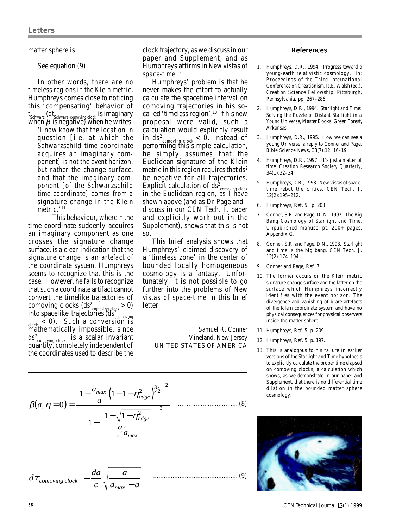#### matter sphere is

### See equation (9)

In other words, there are no timeless regions in the Klein metric. Humphreys comes close to noticing this 'compensating' behavior of t<sub>schwarz</sub> (dt<sub>schwarz, comoving clock is imaginary</sub> when  $\beta$  is negative) when he writes: 'I now know that the location in question [i.e. at which the Schwarzschild time coordinate acquires an imaginary component] is not the event horizon, but rather the change surface, and that the imaginary component [of the Schwarzschild time coordinate] comes from a signature change in the Klein metric.<sup>'11</sup>

This behaviour, wherein the time coordinate suddenly acquires an imaginary component as one crosses the signature change surface, is a clear indication that the signature change is an artefact of the coordinate system. Humphreys seems to recognize that this is the case. However, he fails to recognize that such a coordinate artifact cannot convert the timelike trajectories of comoving clocks  $(ds_{\text{comoving clock}}^2 > 0)$ into spacelike trajectories (ds<sup>2</sup><sub>comoving</sub><br><sub>clock</sub> < 0). Such a conversion is mathematically impossible, since ds<sup>2</sup><sub>comoving clock</sub> is a scalar invariant quantity, completely independent of the coordinates used to describe the

clock trajectory, as we discuss in our paper and Supplement, and as Humphreys affirms in New vistas of space-time.<sup>12</sup>

Humphreys' problem is that he never makes the effort to actually calculate the spacetime interval on comoving trajectories in his socalled 'timeless region'.<sup>13</sup> If his new proposal were valid, such a calculation would explicitly result in ds<sup>2</sup><sub>comoving clock</sub> < 0. Instead of performing this simple calculation, he simply assumes that the Euclidean signature of the Klein metric in this region requires that  $ds<sup>2</sup>$ be negative for all trajectories. Explicit calculation of ds<sup>2</sup> comoving clock<br>in the Euclidean region, as I have shown above (and as Dr Page and I discuss in our CEN Tech. J. paper and explicitly work out in the Supplement), shows that this is not so.

This brief analysis shows that Humphreys' claimed discovery of a 'timeless zone' in the center of bounded locally homogeneous cosmology is a fantasy. Unfortunately, it is not possible to go further into the problems of New vistas of space-time in this brief letter.

> Samuel R. Conner Vineland, New Jersey UNITED STATES OF AMERICA

#### References

- 1. Humphreys, D.R., 1994. Progress toward a young-earth relativistic cosmology. In: Proceedings of the Third International Conference on Creationism, R.E. Walsh (ed.), Creation Science Fellowship, Pittsburgh, Pennsylvania, pp. 267–286.
- 2. Humphreys, D.R., 1994. Starlight and Time: Solving the Puzzle of Distant Starlight in a Young Universe, Master Books, Green Forest, Arkansas.
- 3. Humphreys, D.R., 1995. How we can see a young Universe: a reply to Conner and Page. Bible Science News, 33(7):12, 16–19.
- 4. Humphreys, D.R., 1997. It's just a matter of time. Creation Research Society Quarterly, 34(1):32–34.
- 5. Humphreys, D.R., 1998. New vistas of spacetime rebut the critics, CEN Tech. J. 12(2):195–212.
- 6. Humphreys, Ref. 5, p. 203
- 7. Conner, S.R. and Page, D. N., 1997. The Big Bang Cosmology of Starlight and Time. Unpublished manuscript, 200+ pages, Appendix G.
- 8. Conner, S.R. and Page, D.N., 1998. Starlight and time is the big bang. CEN Tech. J. 12(2):174–194.
- 9. Conner and Page, Ref. 7.
- 10. The former occurs on the Klein metric signature change surface and the latter on the surface which Humphreys incorrectly identifies with the event horizon. The divergence and vanishing of b are artefacts of the Klein coordinate system and have no physical consequences for physical observers inside the matter sphere.
- 11. Humphreys, Ref. 5, p. 209.
- 12. Humphreys, Ref. 5, p. 197.
- 13. This is analogous to his failure in earlier versions of the Starlight and Time hypothesis to explicitly calculate the proper time elapsed on comoving clocks, a calculation which shows, as we demonstrate in our paper and Supplement, that there is no differential time dilation in the bounded matter sphere cosmology.

$$
\beta(a, \eta = 0) = \frac{\left[1 - \frac{a_{max}}{a} \left(1 - 1 - \eta_{edge}^2\right)^{3/2}\right]^2}{\left[1 - \left(\frac{1 - \sqrt{1 - \eta_{edge}^2}}{a_{max}}\right)\right]^3}
$$
 (8)  

$$
d\tau_{comoving clock} = \frac{da}{a} \sqrt{\frac{a}{a}}
$$
 (9)

*c*

 $\tau_{\text{comoving clock}} = \frac{du}{c} \sqrt{\frac{u}{a_{\text{max}} - a}}$ 

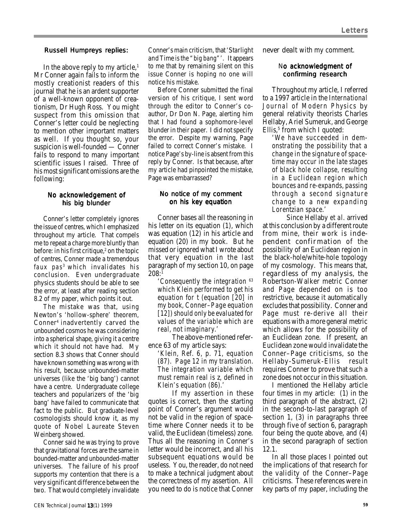## Russell Humpreys replies:

In the above reply to my article,<sup>1</sup> Mr Conner again fails to inform the mostly creationist readers of this journal that he is an ardent supporter of a well-known opponent of creationism, Dr Hugh Ross. You might suspect from this omission that Conner's letter could be neglecting to mention other important matters as well. If you thought so, your suspicion is well-founded — Conner fails to respond to many important scientific issues I raised. Three of his most significant omissions are the following:

# No acknowledgement of his big blunder

Conner's letter completely ignores the issue of centres, which I emphasized throughout my article. That compels me to repeat a charge more bluntly than before: in his first critique,<sup>2</sup> on the topic of centres, Conner made a tremendous faux  $pas<sup>3</sup>$  which invalidates his conclusion. Even undergraduate physics students should be able to see the error, at least after reading section 8.2 of my paper, which points it out.

The mistake was that, using Newton's 'hollow-sphere' theorem, Conner4 inadvertently carved the unbounded cosmos he was considering into a spherical shape, giving it a centre which it should not have had. My section 8.3 shows that Conner should have known something was wrong with his result, because unbounded-matter universes (like the 'big bang') cannot have a centre. Undergraduate college teachers and popularizers of the 'big bang' have failed to communicate that fact to the public. But graduate-level cosmologists should know it, as my quote of Nobel Laureate Steven Weinberg showed.

Conner said he was trying to prove that gravitational forces are the same in bounded-matter and unbounded-matter universes. The failure of his proof supports my contention that there is a very significant difference between the two. That would completely invalidate Conner's main criticism, that'Starlight and Time is the "big bang"'. It appears to me that by remaining silent on this issue Conner is hoping no one will notice his mistake.

Before Conner submitted the final version of his critique, I sent word through the editor to Conner's coauthor, Dr Don N. Page, alerting him that I had found a sophomore-level blunder in their paper. I did not specify the error. Despite my warning, Page failed to correct Conner's mistake. I notice Page's by-line is absent from this reply by Conner. Is that because, after my article had pinpointed the mistake, Page was embarrassed?

# No notice of my comment on his key equation

Conner bases all the reasoning in his letter on its equation (1), which was equation (12) in his article and equation (20) in my book. But he missed or ignored what I wrote about that very equation in the last paragraph of my section 10, on page 208:1

'Consequently the integration <sup>63</sup> which Klein performed to get his equation for t (equation [20] in my book, Conner–Page equation [12]) should only be evaluated for values of the variable which are real, not imaginary.'

The above-mentioned reference 63 of my article says:

'Klein, Ref. 6, p. 71, equation (87). Page 12 in my translation. The integration variable which must remain real is z, defined in Klein's equation (86).'

If my assertion in these quotes is correct, then the starting point of Conner's argument would not be valid in the region of spacetime where Conner needs it to be valid, the Euclidean (timeless) zone. Thus all the reasoning in Conner's letter would be incorrect, and all his subsequent equations would be useless. You, the reader, do not need to make a technical judgment about the correctness of my assertion. All you need to do is notice that Conner

never dealt with my comment.

# No acknowledgment of confirming research

Throughout my article, I referred to a 1997 article in the International Journal of Modern Physics by general relativity theorists Charles Hellaby, Ariel Sumeruk, and George Ellis, $5$  from which I quoted:

'We have succeeded in demonstrating the possibility that a change in the signature of spacetime may occur in the late stages of black hole collapse, resulting in a Euclidean region which bounces and re-expands, passing through a second signature change to a new expanding Lorentzian space.'

Since Hellaby et al. arrived at this conclusion by a different route from mine, their work is independent confirmation of the possibility of an Euclidean region in the black-hole/white-hole topology of my cosmology. This means that, regardless of my analysis, the Robertson-Walker metric Conner and Page depended on is too restrictive, because it automatically excludes that possibility. Conner and Page must re-derive all their equations with a more general metric which allows for the possibility of an Euclidean zone. If present, an Euclidean zone would invalidate the Conner–Page criticisms, so the Hellaby-Sumeruk-Ellis result requires Conner to prove that such a zone does not occur in this situation.

I mentioned the Hellaby article four times in my article: (1) in the third paragraph of the abstract, (2) in the second-to-last paragraph of section 1, (3) in paragraphs three through five of section 6, paragraph four being the quote above, and (4) in the second paragraph of section 12.1.

In all those places I pointed out the implications of that research for the validity of the Conner–Page criticisms. These references were in key parts of my paper, including the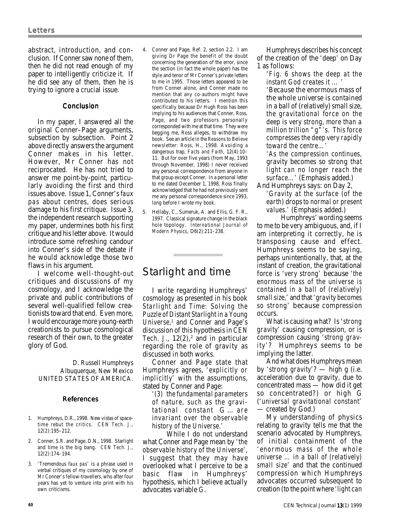abstract, introduction, and conclusion. If Conner saw none of them, then he did not read enough of my paper to intelligently criticize it. If he did see any of them, then he is trying to ignore a crucial issue.

# Conclusion

In my paper, I answered all the original Conner–Page arguments, subsection by subsection. Point 2 above directly answers the argument Conner makes in his letter. However, Mr Conner has not reciprocated. He has not tried to answer me point-by-point, particularly avoiding the first and third issues above. Issue 1, Conner's faux pas about centres, does serious damage to his first critique. Issue 3, the independent research supporting my paper, undermines both his first critique and his letter above. It would introduce some refreshing candour into Conner's side of the debate if he would acknowledge those two flaws in his argument.

I welcome well-thought-out critiques and discussions of my cosmology, and I acknowledge the private and public contributions of several well-qualified fellow creationists toward that end. Even more, I would encourage more young-earth creationists to pursue cosmological research of their own, to the greater glory of God.

> D. Russell Humphreys Albuquerque, New Mexico UNITED STATES OF AMERICA.

#### References

- 1. Humphreys, D.R., 1998. New vistas of spacetime rebut the critics. CEN Tech. J., 12(2):195–212.
- 2. Conner, S.R. and Page, D.N., 1998. Starlight and time is the big bang. CEN Tech. J., 12(2):174–194.
- 3. 'Tremendous faux pas' is a phrase used in verbal critiques of my cosmology by one of Mr Conner's fellow-travellers, who after four years has yet to venture into print with his own criticisms.
- 4. Conner and Page, Ref. 2, section 2.2. I am giving Dr Page the benefit of the doubt concerning the generation of the error, since the section (in fact the whole paper) has the style and tenor of Mr Conner's private letters to me in 1995. Those letters appeared to be from Conner alone, and Conner made no mention that any co-authors might have contributed to his letters. I mention this specifically because Dr Hugh Ross has been implying to his audiences that Conner, Ross, Page, and two professors personally corresponded with me at that time. They were begging me, Ross alleges, to withdraw my book. See an article in the Reasons to Believe newsletter: Ross, H., 1998. Avoiding a dangerous trap, Facts and Faith, 12(4):10– 11. But for over five years (from May, 1993 through November, 1998) I never received any personal correspondence from anyone in that group except Conner. In a personal letter to me dated December 1, 1998, Ross finally acknowledged that he had not previously sent me any personal correspondence since 1993, long before I wrote my book.
- 5. Hellaby, C., Sumeruk, A. and Ellis, G. F. R., 1997. Classical signature change in the black hole topology. International Journal of Modern Physics, D6(2):211–238.

# Starlight and time

I write regarding Humphreys' cosmology as presented in his book Starlight and Time: Solving the Puzzle of Distant Starlight in a Young Universe,<sup>1</sup> and Conner and Page's discussion of this hypothesis in CEN Tech. J.,  $12(2)$ , and in particular regarding the role of gravity as discussed in both works.

Conner and Page state that Humphreys agrees, 'explicitly or implicitly' with the assumptions, stated by Conner and Page:

'(3) the fundamental parameters of nature, such as the gravitational constant G … are invariant over the observable history of the Universe.'

While I do not understand what Conner and Page mean by 'the observable history of the Universe', I suggest that they may have overlooked what I perceive to be a basic flaw in Humphreys' hypothesis, which I believe actually advocates variable G.

Humphreys describes his concept of the creation of the 'deep' on Day 1 as follows:

'Fig. 6 shows the deep at the instant God creates it … '

'Because the enormous mass of the whole universe is contained in a ball of (relatively) small size, the gravitational force on the deep is very strong, more than a million trillion "g"'s. This force compresses the deep very rapidly toward the centre…'

'As the compression continues, gravity becomes so strong that light can no longer reach the surface…' (Emphasis added.)

And Humphreys says: on Day 2, 'Gravity at the surface (of the earth) drops to normal or present values.' (Emphasis added.)

Humphreys' wording seems to me to be very ambiguous, and, if I am interpreting it correctly, he is transposing cause and effect. Humphreys seems to be saying, perhaps unintentionally, that, at the instant of creation, the gravitational force is 'very strong' because 'the enormous mass of the universe is contained in a ball of (relatively) small size,' and that 'gravity becomes so strong' because compression occurs.

What is causing what? Is 'strong gravity' causing compression, or is compression causing 'strong gravity'? Humphreys seems to be implying the latter.

And what does Humphreys mean by 'strong gravity'? — high g (i.e. acceleration due to gravity, due to concentrated mass — how did it get so concentrated?) or high G ('universal gravitational constant' — created by God.)

My understanding of physics relating to gravity tells me that the scenario advocated by Humphreys, of initial containment of the 'enormous mass of the whole universe … in a ball of (relatively) small size' and that the continued compression which Humphreys advocates occurred subsequent to creation (to the point where 'light can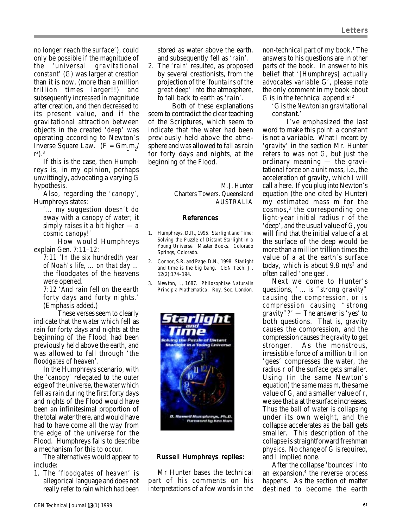no longer reach the surface'), could only be possible if the magnitude of the 'universal gravitational constant' (G) was larger at creation than it is now, (more than a million trillion times larger!!) and subsequently increased in magnitude after creation, and then decreased to its present value, and if the gravitational attraction between objects in the created 'deep' was operating according to Newton's Inverse Square Law. (F =  $Gm_1m_2$ /  $r^2$ ).<sup>3</sup>

If this is the case, then Humphreys is, in my opinion, perhaps unwittingly, advocating a varying G hypothesis.

Also, regarding the 'canopy', Humphreys states:

'… my suggestion doesn't do away with a canopy of water; it simply raises it a bit higher — a cosmic canopy!'

How would Humphreys explain Gen. 7:11–12:

7:11 'In the six hundredth year of Noah's life, … on that day … the floodgates of the heavens were opened.

7:12 'And rain fell on the earth forty days and forty nights.' (Emphasis added.)

These verses seem to clearly indicate that the water which fell as rain for forty days and nights at the beginning of the Flood, had been previously held above the earth, and was allowed to fall through 'the floodgates of heaven'.

In the Humphreys scenario, with the 'canopy' relegated to the outer edge of the universe, the water which fell as rain during the first forty days and nights of the Flood would have been an infinitesimal proportion of the total water there, and would have had to have come all the way from the edge of the universe for the Flood. Humphreys fails to describe a mechanism for this to occur.

The alternatives would appear to include:

1. The 'floodgates of heaven' is allegorical language and does not really refer to rain which had been

stored as water above the earth, and subsequently fell as 'rain'.

2. The 'rain' resulted, as proposed by several creationists, from the projection of the 'fountains of the great deep' into the atmosphere, to fall back to earth as 'rain'.

Both of these explanations seem to contradict the clear teaching of the Scriptures, which seem to indicate that the water had been previously held above the atmosphere and was allowed to fall as rain for forty days and nights, at the beginning of the Flood.

> M.J. Hunter Charters Towers, Queensland AUSTRALIA

# References

- 1. Humphreys, D.R., 1995. Starlight and Time: Solving the Puzzle of Distant Starlight in a Young Universe. Master Books. Colorado Springs, Colorado.
- 2. Connor, S.R. and Page, D.N., 1998. Starlight and time is the big bang. CEN Tech. J., 12(2):174–194.
- 3. Newton, I., 1687. Philosophiae Naturalis Principia Mathematica. Roy. Soc. London.



# Russell Humphreys replies:

Mr Hunter bases the technical part of his comments on his interpretations of a few words in the

non-technical part of my book.<sup>1</sup> The answers to his questions are in other parts of the book. In answer to his belief that '[Humphreys] actually advocates variable G', please note the only comment in my book about G is in the technical appendix:2

'G is the Newtonian gravitational constant.'

I've emphasized the last word to make this point: a constant is not a variable. What I meant by 'gravity' in the section Mr. Hunter refers to was not G, but just the ordinary meaning — the gravitational force on a unit mass, i.e., the acceleration of gravity, which I will call a here. If you plug into Newton's equation (the one cited by Hunter) my estimated mass m for the cosmos,<sup>3</sup> the corresponding one light-year initial radius r of the 'deep', and the usual value of G, you will find that the initial value of a at the surface of the deep would be more than a million trillion times the value of a at the earth's surface today, which is about 9.8  $m/s<sup>2</sup>$  and often called 'one gee'.

Next we come to Hunter's questions, ' … is "strong gravity" causing the compression, or is compression causing "strong gravity"?' — The answer is 'yes' to both questions. That is, gravity causes the compression, and the compression causes the gravity to get stronger. As the monstrous, irresistible force of a million trillion 'gees' compresses the water, the radius r of the surface gets smaller. Using (in the same Newton's equation) the same mass m, the same value of G, and a smaller value of r, we see that a at the surface increases. Thus the ball of water is collapsing under its own weight, and the collapse accelerates as the ball gets smaller. This description of the collapse is straightforward freshman physics. No change of G is required, and I implied none.

After the collapse 'bounces' into an expansion,<sup>4</sup> the reverse process happens. As the section of matter destined to become the earth